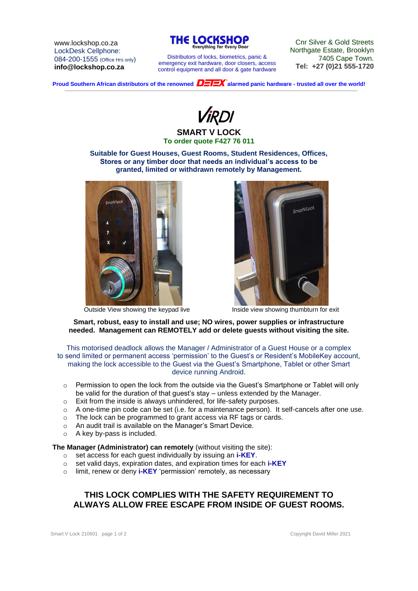www.lockshop.co.za LockDesk Cellphone: 084-200-1555 (Office Hrs only) **info@lockshop.co.za**



Distributors of locks, biometrics, panic & emergency exit hardware, door closers, access control equipment and all door & gate hardware

Cnr Silver & Gold Streets Northgate Estate, Brooklyn 7405 Cape Town. **Tel: +27 (0)21 555-1720**

**Proud Southern African distributors of the renowned**  $\overline{D=I=X}^*$  **alarmed panic hardware - trusted all over the world!** 



#### **SMART V LOCK To order quote F427 76 011**

**Suitable for Guest Houses, Guest Rooms, Student Residences, Offices, Stores or any timber door that needs an individual's access to be granted, limited or withdrawn remotely by Management.**





Outside View showing the keypad live Inside view showing thumbturn for exit

### **Smart, robust, easy to install and use; NO wires, power supplies or infrastructure needed. Management can REMOTELY add or delete guests without visiting the site.**

This motorised deadlock allows the Manager / Administrator of a Guest House or a complex to send limited or permanent access 'permission' to the Guest's or Resident's MobileKey account, making the lock accessible to the Guest via the Guest's Smartphone, Tablet or other Smart device running Android.

- o Permission to open the lock from the outside via the Guest's Smartphone or Tablet will only be valid for the duration of that guest's stay – unless extended by the Manager.
- o Exit from the inside is always unhindered, for life-safety purposes.
- $\circ$  A one-time pin code can be set (i.e. for a maintenance person). It self-cancels after one use.
- o The lock can be programmed to grant access via RF tags or cards.
- o An audit trail is available on the Manager's Smart Device.
- o A key by-pass is included.

### **The Manager (Administrator) can remotely** (without visiting the site):

- o set access for each guest individually by issuing an **i-KEY**.
- o set valid days, expiration dates, and expiration times for each **i-KEY**
- o limit, renew or deny **i-KEY** 'permission' remotely, as necessary

# **THIS LOCK COMPLIES WITH THE SAFETY REQUIREMENT TO ALWAYS ALLOW FREE ESCAPE FROM INSIDE OF GUEST ROOMS.**